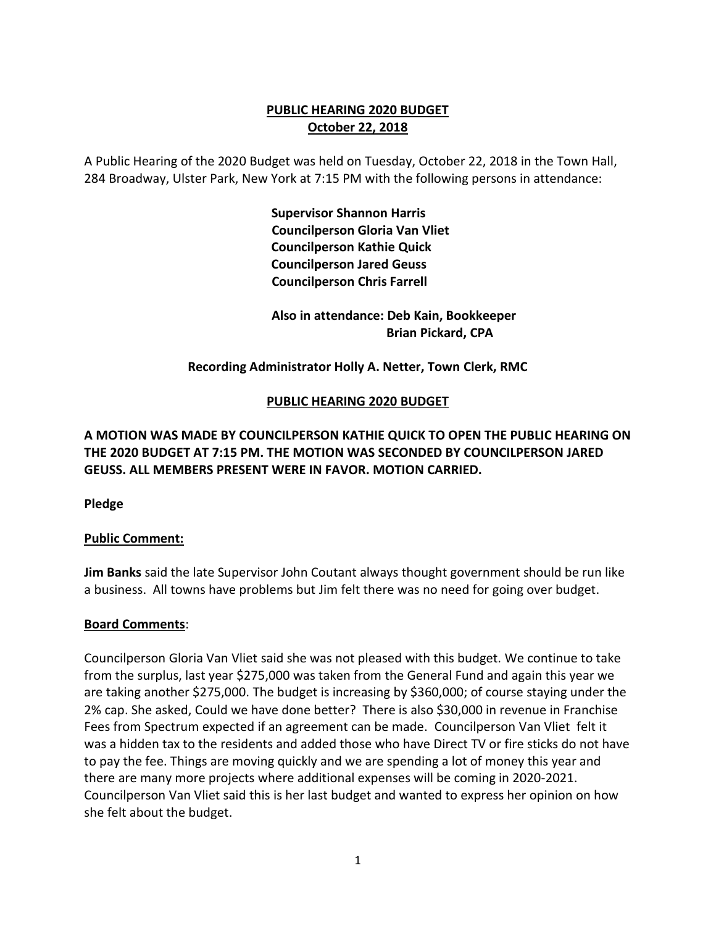## **PUBLIC HEARING 2020 BUDGET October 22, 2018**

A Public Hearing of the 2020 Budget was held on Tuesday, October 22, 2018 in the Town Hall, 284 Broadway, Ulster Park, New York at 7:15 PM with the following persons in attendance:

> **Supervisor Shannon Harris Councilperson Gloria Van Vliet Councilperson Kathie Quick Councilperson Jared Geuss Councilperson Chris Farrell**

 **Also in attendance: Deb Kain, Bookkeeper Brian Pickard, CPA**

## **Recording Administrator Holly A. Netter, Town Clerk, RMC**

## **PUBLIC HEARING 2020 BUDGET**

# **A MOTION WAS MADE BY COUNCILPERSON KATHIE QUICK TO OPEN THE PUBLIC HEARING ON THE 2020 BUDGET AT 7:15 PM. THE MOTION WAS SECONDED BY COUNCILPERSON JARED GEUSS. ALL MEMBERS PRESENT WERE IN FAVOR. MOTION CARRIED.**

**Pledge**

## **Public Comment:**

**Jim Banks** said the late Supervisor John Coutant always thought government should be run like a business. All towns have problems but Jim felt there was no need for going over budget.

## **Board Comments**:

Councilperson Gloria Van Vliet said she was not pleased with this budget. We continue to take from the surplus, last year \$275,000 was taken from the General Fund and again this year we are taking another \$275,000. The budget is increasing by \$360,000; of course staying under the 2% cap. She asked, Could we have done better? There is also \$30,000 in revenue in Franchise Fees from Spectrum expected if an agreement can be made. Councilperson Van Vliet felt it was a hidden tax to the residents and added those who have Direct TV or fire sticks do not have to pay the fee. Things are moving quickly and we are spending a lot of money this year and there are many more projects where additional expenses will be coming in 2020-2021. Councilperson Van Vliet said this is her last budget and wanted to express her opinion on how she felt about the budget.